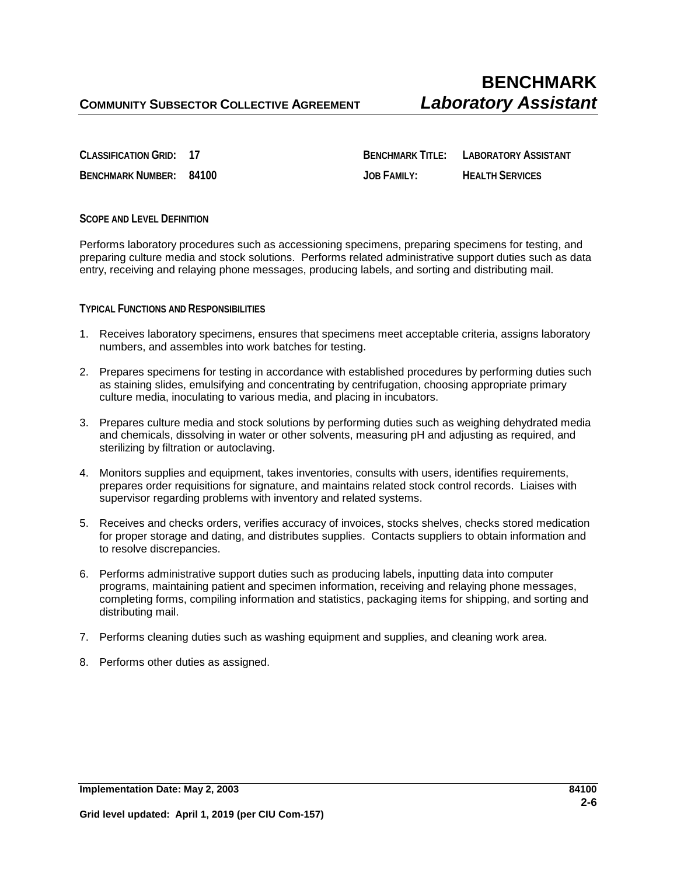**CLASSIFICATION GRID: 17 BENCHMARK TITLE: LABORATORY ASSISTANT BENCHMARK NUMBER: 84100 JOB FAMILY: HEALTH SERVICES**

## **SCOPE AND LEVEL DEFINITION**

Performs laboratory procedures such as accessioning specimens, preparing specimens for testing, and preparing culture media and stock solutions. Performs related administrative support duties such as data entry, receiving and relaying phone messages, producing labels, and sorting and distributing mail.

## **TYPICAL FUNCTIONS AND RESPONSIBILITIES**

- 1. Receives laboratory specimens, ensures that specimens meet acceptable criteria, assigns laboratory numbers, and assembles into work batches for testing.
- 2. Prepares specimens for testing in accordance with established procedures by performing duties such as staining slides, emulsifying and concentrating by centrifugation, choosing appropriate primary culture media, inoculating to various media, and placing in incubators.
- 3. Prepares culture media and stock solutions by performing duties such as weighing dehydrated media and chemicals, dissolving in water or other solvents, measuring pH and adjusting as required, and sterilizing by filtration or autoclaving.
- 4. Monitors supplies and equipment, takes inventories, consults with users, identifies requirements, prepares order requisitions for signature, and maintains related stock control records. Liaises with supervisor regarding problems with inventory and related systems.
- 5. Receives and checks orders, verifies accuracy of invoices, stocks shelves, checks stored medication for proper storage and dating, and distributes supplies. Contacts suppliers to obtain information and to resolve discrepancies.
- 6. Performs administrative support duties such as producing labels, inputting data into computer programs, maintaining patient and specimen information, receiving and relaying phone messages, completing forms, compiling information and statistics, packaging items for shipping, and sorting and distributing mail.
- 7. Performs cleaning duties such as washing equipment and supplies, and cleaning work area.
- 8. Performs other duties as assigned.